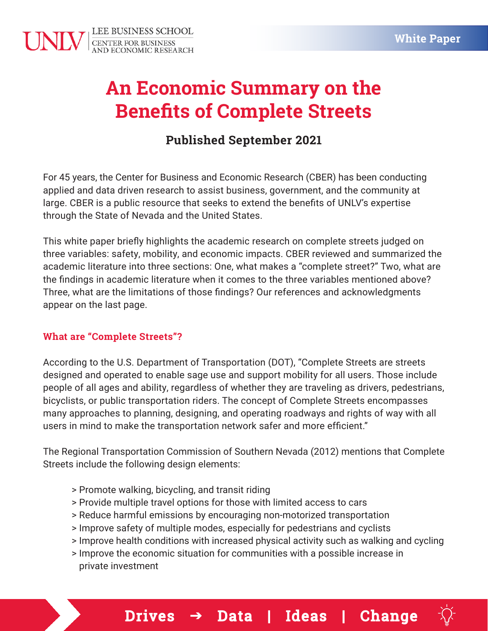

# **An Economic Summary on the Benefits of Complete Streets**

# **Published September 2021**

For 45 years, the Center for Business and Economic Research (CBER) has been conducting applied and data driven research to assist business, government, and the community at large. CBER is a public resource that seeks to extend the benefits of UNLV's expertise through the State of Nevada and the United States.

This white paper briefly highlights the academic research on complete streets judged on three variables: safety, mobility, and economic impacts. CBER reviewed and summarized the academic literature into three sections: One, what makes a "complete street?" Two, what are the findings in academic literature when it comes to the three variables mentioned above? Three, what are the limitations of those findings? Our references and acknowledgments appear on the last page.

#### **What are "Complete Streets"?**

According to the U.S. Department of Transportation (DOT), "Complete Streets are streets designed and operated to enable sage use and support mobility for all users. Those include people of all ages and ability, regardless of whether they are traveling as drivers, pedestrians, bicyclists, or public transportation riders. The concept of Complete Streets encompasses many approaches to planning, designing, and operating roadways and rights of way with all users in mind to make the transportation network safer and more efficient."

The Regional Transportation Commission of Southern Nevada (2012) mentions that Complete Streets include the following design elements:

- > Promote walking, bicycling, and transit riding
- > Provide multiple travel options for those with limited access to cars
- > Reduce harmful emissions by encouraging non-motorized transportation
- > Improve safety of multiple modes, especially for pedestrians and cyclists
- > Improve health conditions with increased physical activity such as walking and cycling

Drives  $\rightarrow$  Data | Ideas | Change

> Improve the economic situation for communities with a possible increase in private investment

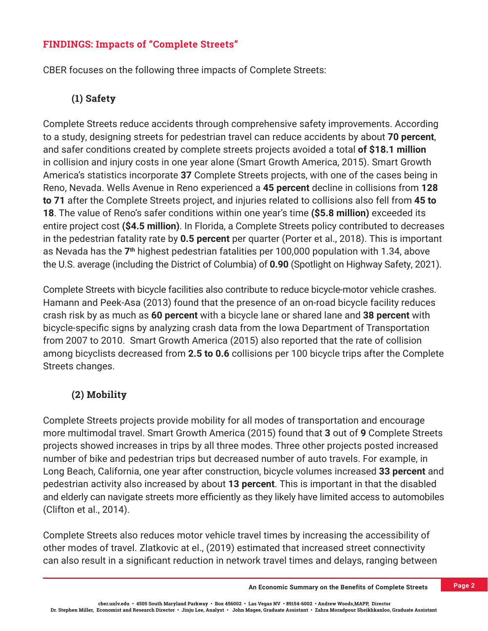#### **FINDINGS: Impacts of "Complete Streets"**

CBER focuses on the following three impacts of Complete Streets:

#### **(1) Safety**

Complete Streets reduce accidents through comprehensive safety improvements. According to a study, designing streets for pedestrian travel can reduce accidents by about **70 percent**, and safer conditions created by complete streets projects avoided a total **of \$18.1 million**  in collision and injury costs in one year alone (Smart Growth America, 2015). Smart Growth America's statistics incorporate **37** Complete Streets projects, with one of the cases being in Reno, Nevada. Wells Avenue in Reno experienced a **45 percent** decline in collisions from **128 to 71** after the Complete Streets project, and injuries related to collisions also fell from **45 to 18**. The value of Reno's safer conditions within one year's time **(\$5.8 million)** exceeded its entire project cost **(\$4.5 million)**. In Florida, a Complete Streets policy contributed to decreases in the pedestrian fatality rate by **0.5 percent** per quarter (Porter et al., 2018). This is important as Nevada has the **7th** highest pedestrian fatalities per 100,000 population with 1.34, above the U.S. average (including the District of Columbia) of **0.90** (Spotlight on Highway Safety, 2021).

Complete Streets with bicycle facilities also contribute to reduce bicycle-motor vehicle crashes. Hamann and Peek-Asa (2013) found that the presence of an on-road bicycle facility reduces crash risk by as much as **60 percent** with a bicycle lane or shared lane and **38 percent** with bicycle-specific signs by analyzing crash data from the Iowa Department of Transportation from 2007 to 2010. Smart Growth America (2015) also reported that the rate of collision among bicyclists decreased from **2.5 to 0.6** collisions per 100 bicycle trips after the Complete Streets changes.

#### **(2) Mobility**

Complete Streets projects provide mobility for all modes of transportation and encourage more multimodal travel. Smart Growth America (2015) found that **3** out of **9** Complete Streets projects showed increases in trips by all three modes. Three other projects posted increased number of bike and pedestrian trips but decreased number of auto travels. For example, in Long Beach, California, one year after construction, bicycle volumes increased **33 percent** and pedestrian activity also increased by about **13 percent**. This is important in that the disabled and elderly can navigate streets more efficiently as they likely have limited access to automobiles (Clifton et al., 2014).

Complete Streets also reduces motor vehicle travel times by increasing the accessibility of other modes of travel. Zlatkovic at el., (2019) estimated that increased street connectivity can also result in a significant reduction in network travel times and delays, ranging between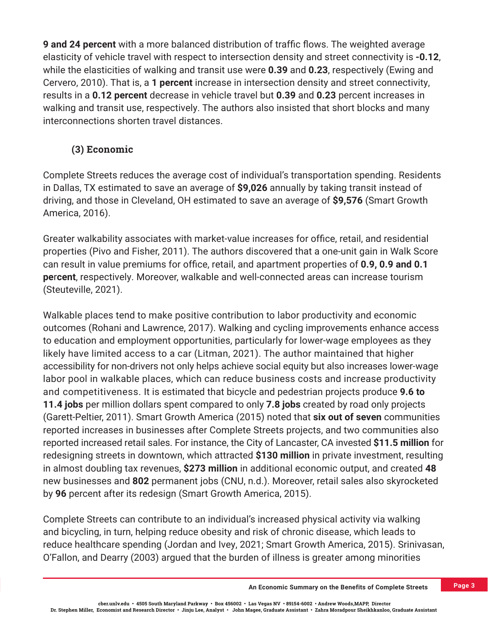**9 and 24 percent** with a more balanced distribution of traffic flows. The weighted average elasticity of vehicle travel with respect to intersection density and street connectivity is **-0.12**, while the elasticities of walking and transit use were **0.39** and **0.23**, respectively (Ewing and Cervero, 2010). That is, a **1 percent** increase in intersection density and street connectivity, results in a **0.12 percent** decrease in vehicle travel but **0.39** and **0.23** percent increases in walking and transit use, respectively. The authors also insisted that short blocks and many interconnections shorten travel distances.

### **(3) Economic**

Complete Streets reduces the average cost of individual's transportation spending. Residents in Dallas, TX estimated to save an average of **\$9,026** annually by taking transit instead of driving, and those in Cleveland, OH estimated to save an average of **\$9,576** (Smart Growth America, 2016).

Greater walkability associates with market-value increases for office, retail, and residential properties (Pivo and Fisher, 2011). The authors discovered that a one-unit gain in Walk Score can result in value premiums for office, retail, and apartment properties of **0.9, 0.9 and 0.1 pe**r**cent**, respectively. Moreover, walkable and well-connected areas can increase tourism (Steuteville, 2021).

Walkable places tend to make positive contribution to labor productivity and economic outcomes (Rohani and Lawrence, 2017). Walking and cycling improvements enhance access to education and employment opportunities, particularly for lower-wage employees as they likely have limited access to a car (Litman, 2021). The author maintained that higher accessibility for non-drivers not only helps achieve social equity but also increases lower-wage labor pool in walkable places, which can reduce business costs and increase productivity and competitiveness. It is estimated that bicycle and pedestrian projects produce **9.6 to 11.4 jobs** per million dollars spent compared to only **7.8 jobs** created by road only projects (Garett-Peltier, 2011). Smart Growth America (2015) noted that **six out of seven** communities reported increases in businesses after Complete Streets projects, and two communities also reported increased retail sales. For instance, the City of Lancaster, CA invested **\$11.5 million** for redesigning streets in downtown, which attracted **\$130 million** in private investment, resulting in almost doubling tax revenues, **\$273 million** in additional economic output, and created **48** new businesses and **802** permanent jobs (CNU, n.d.). Moreover, retail sales also skyrocketed by **96** percent after its redesign (Smart Growth America, 2015).

Complete Streets can contribute to an individual's increased physical activity via walking and bicycling, in turn, helping reduce obesity and risk of chronic disease, which leads to reduce healthcare spending (Jordan and Ivey, 2021; Smart Growth America, 2015). Srinivasan, O'Fallon, and Dearry (2003) argued that the burden of illness is greater among minorities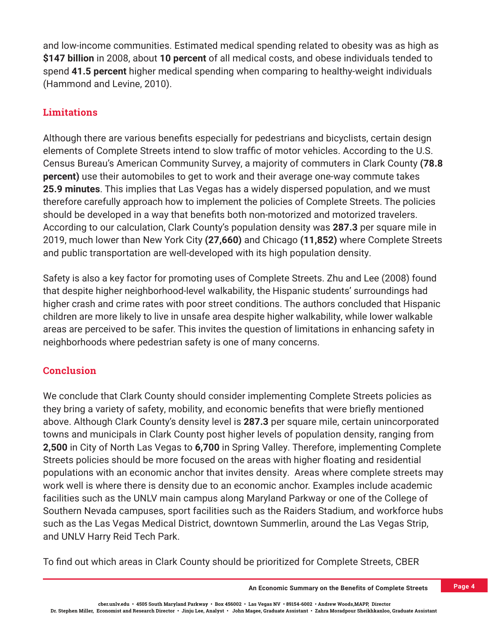and low-income communities. Estimated medical spending related to obesity was as high as **\$147 billion** in 2008, about **10 percent** of all medical costs, and obese individuals tended to spend **41.5 percent** higher medical spending when comparing to healthy-weight individuals (Hammond and Levine, 2010).

## **Limitations**

Although there are various benefits especially for pedestrians and bicyclists, certain design elements of Complete Streets intend to slow traffic of motor vehicles. According to the U.S. Census Bureau's American Community Survey, a majority of commuters in Clark County **(78.8 percent)** use their automobiles to get to work and their average one-way commute takes **25.9 minutes**. This implies that Las Vegas has a widely dispersed population, and we must therefore carefully approach how to implement the policies of Complete Streets. The policies should be developed in a way that benefits both non-motorized and motorized travelers. According to our calculation, Clark County's population density was **287.3** per square mile in 2019, much lower than New York City **(27,660)** and Chicago **(11,852)** where Complete Streets and public transportation are well-developed with its high population density.

Safety is also a key factor for promoting uses of Complete Streets. Zhu and Lee (2008) found that despite higher neighborhood-level walkability, the Hispanic students' surroundings had higher crash and crime rates with poor street conditions. The authors concluded that Hispanic children are more likely to live in unsafe area despite higher walkability, while lower walkable areas are perceived to be safer. This invites the question of limitations in enhancing safety in neighborhoods where pedestrian safety is one of many concerns.

# **Conclusion**

We conclude that Clark County should consider implementing Complete Streets policies as they bring a variety of safety, mobility, and economic benefits that were briefly mentioned above. Although Clark County's density level is **287.3** per square mile, certain unincorporated towns and municipals in Clark County post higher levels of population density, ranging from **2,500** in City of North Las Vegas to **6,700** in Spring Valley. Therefore, implementing Complete Streets policies should be more focused on the areas with higher floating and residential populations with an economic anchor that invites density. Areas where complete streets may work well is where there is density due to an economic anchor. Examples include academic facilities such as the UNLV main campus along Maryland Parkway or one of the College of Southern Nevada campuses, sport facilities such as the Raiders Stadium, and workforce hubs such as the Las Vegas Medical District, downtown Summerlin, around the Las Vegas Strip, and UNLV Harry Reid Tech Park.

To find out which areas in Clark County should be prioritized for Complete Streets, CBER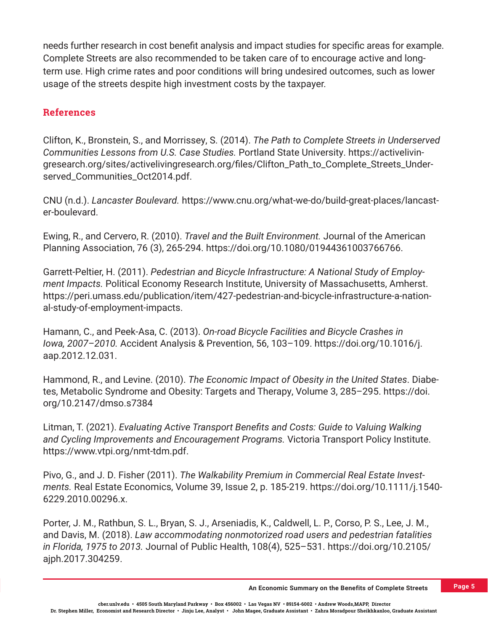needs further research in cost benefit analysis and impact studies for specific areas for example. Complete Streets are also recommended to be taken care of to encourage active and longterm use. High crime rates and poor conditions will bring undesired outcomes, such as lower usage of the streets despite high investment costs by the taxpayer.

#### **References**

Clifton, K., Bronstein, S., and Morrissey, S. (2014). *The Path to Complete Streets in Underserved Communities Lessons from U.S. Case Studies.* Portland State University. https://activelivingresearch.org/sites/activelivingresearch.org/files/Clifton\_Path\_to\_Complete\_Streets\_Underserved\_Communities\_Oct2014.pdf.

CNU (n.d.). *Lancaster Boulevard.* https://www.cnu.org/what-we-do/build-great-places/lancaster-boulevard.

Ewing, R., and Cervero, R. (2010). *Travel and the Built Environment.* Journal of the American Planning Association, 76 (3), 265-294. https://doi.org/10.1080/01944361003766766.

Garrett-Peltier, H. (2011). *Pedestrian and Bicycle Infrastructure: A National Study of Employment Impacts.* Political Economy Research Institute, University of Massachusetts, Amherst. https://peri.umass.edu/publication/item/427-pedestrian-and-bicycle-infrastructure-a-national-study-of-employment-impacts.

Hamann, C., and Peek-Asa, C. (2013). *On-road Bicycle Facilities and Bicycle Crashes in Iowa, 2007–2010.* Accident Analysis & Prevention, 56, 103–109. https://doi.org/10.1016/j. aap.2012.12.031.

Hammond, R., and Levine. (2010). *The Economic Impact of Obesity in the United States*. Diabetes, Metabolic Syndrome and Obesity: Targets and Therapy, Volume 3, 285–295. https://doi. org/10.2147/dmso.s7384

Litman, T. (2021). *Evaluating Active Transport Benefits and Costs: Guide to Valuing Walking and Cycling Improvements and Encouragement Programs.* Victoria Transport Policy Institute. https://www.vtpi.org/nmt-tdm.pdf.

Pivo, G., and J. D. Fisher (2011). *The Walkability Premium in Commercial Real Estate Investments.* Real Estate Economics, Volume 39, Issue 2, p. 185-219. https://doi.org/10.1111/j.1540- 6229.2010.00296.x.

Porter, J. M., Rathbun, S. L., Bryan, S. J., Arseniadis, K., Caldwell, L. P., Corso, P. S., Lee, J. M., and Davis, M. (2018). *Law accommodating nonmotorized road users and pedestrian fatalities in Florida, 1975 to 2013.* Journal of Public Health, 108(4), 525–531. https://doi.org/10.2105/ ajph.2017.304259.